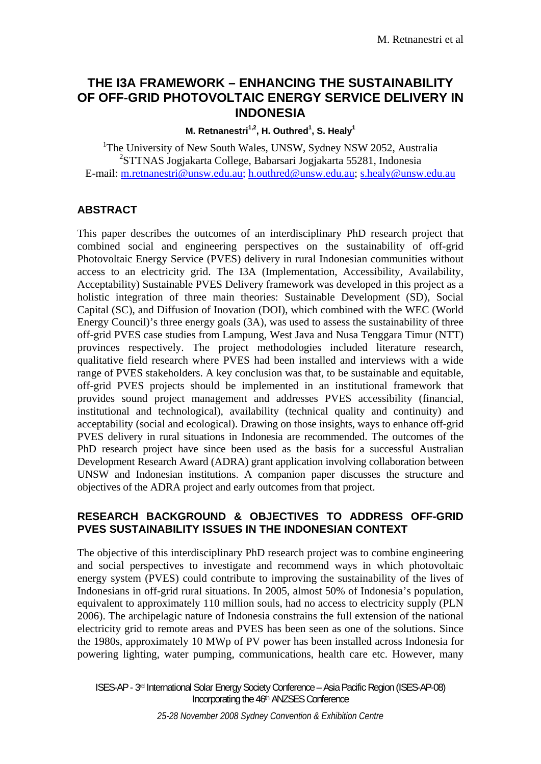# **THE I3A FRAMEWORK – ENHANCING THE SUSTAINABILITY OF OFF-GRID PHOTOVOLTAIC ENERGY SERVICE DELIVERY IN INDONESIA**

**M. Retnanestri<sup>1,2</sup>, H. Outhred<sup>1</sup>, S. Healy<sup>1</sup>** 

<sup>1</sup>The University of New South Wales, UNSW, Sydney NSW 2052, Australia 2 STTNAS Jogjakarta College, Babarsari Jogjakarta 55281, Indonesia E-mail: m.retnanestri@unsw.edu.au; h.outhred@unsw.edu.au; s.healy@unsw.edu.au

### **ABSTRACT**

This paper describes the outcomes of an interdisciplinary PhD research project that combined social and engineering perspectives on the sustainability of off-grid Photovoltaic Energy Service (PVES) delivery in rural Indonesian communities without access to an electricity grid. The I3A (Implementation, Accessibility, Availability, Acceptability) Sustainable PVES Delivery framework was developed in this project as a holistic integration of three main theories: Sustainable Development (SD), Social Capital (SC), and Diffusion of Inovation (DOI), which combined with the WEC (World Energy Council)'s three energy goals (3A), was used to assess the sustainability of three off-grid PVES case studies from Lampung, West Java and Nusa Tenggara Timur (NTT) provinces respectively. The project methodologies included literature research, qualitative field research where PVES had been installed and interviews with a wide range of PVES stakeholders. A key conclusion was that, to be sustainable and equitable, off-grid PVES projects should be implemented in an institutional framework that provides sound project management and addresses PVES accessibility (financial, institutional and technological), availability (technical quality and continuity) and acceptability (social and ecological). Drawing on those insights, ways to enhance off-grid PVES delivery in rural situations in Indonesia are recommended. The outcomes of the PhD research project have since been used as the basis for a successful Australian Development Research Award (ADRA) grant application involving collaboration between UNSW and Indonesian institutions. A companion paper discusses the structure and objectives of the ADRA project and early outcomes from that project.

### **RESEARCH BACKGROUND & OBJECTIVES TO ADDRESS OFF-GRID PVES SUSTAINABILITY ISSUES IN THE INDONESIAN CONTEXT**

The objective of this interdisciplinary PhD research project was to combine engineering and social perspectives to investigate and recommend ways in which photovoltaic energy system (PVES) could contribute to improving the sustainability of the lives of Indonesians in off-grid rural situations. In 2005, almost 50% of Indonesia's population, equivalent to approximately 110 million souls, had no access to electricity supply (PLN 2006). The archipelagic nature of Indonesia constrains the full extension of the national electricity grid to remote areas and PVES has been seen as one of the solutions. Since the 1980s, approximately 10 MWp of PV power has been installed across Indonesia for powering lighting, water pumping, communications, health care etc. However, many

ISES-AP - 3rd International Solar Energy Society Conference – Asia Pacific Region (ISES-AP-08) Incorporating the 46th ANZSES Conference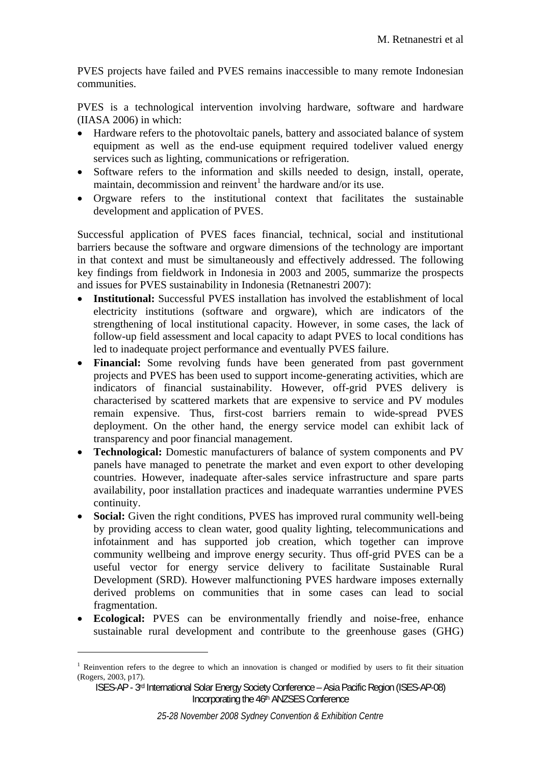PVES projects have failed and PVES remains inaccessible to many remote Indonesian communities.

PVES is a technological intervention involving hardware, software and hardware (IIASA 2006) in which:

- Hardware refers to the photovoltaic panels, battery and associated balance of system equipment as well as the end-use equipment required todeliver valued energy services such as lighting, communications or refrigeration.
- Software refers to the information and skills needed to design, install, operate, maintain, decommission and reinvent<sup>1</sup> the hardware and/or its use.
- Orgware refers to the institutional context that facilitates the sustainable development and application of PVES.

Successful application of PVES faces financial, technical, social and institutional barriers because the software and orgware dimensions of the technology are important in that context and must be simultaneously and effectively addressed. The following key findings from fieldwork in Indonesia in 2003 and 2005, summarize the prospects and issues for PVES sustainability in Indonesia (Retnanestri 2007):

- **Institutional:** Successful PVES installation has involved the establishment of local electricity institutions (software and orgware), which are indicators of the strengthening of local institutional capacity. However, in some cases, the lack of follow-up field assessment and local capacity to adapt PVES to local conditions has led to inadequate project performance and eventually PVES failure.
- **Financial:** Some revolving funds have been generated from past government projects and PVES has been used to support income-generating activities, which are indicators of financial sustainability. However, off-grid PVES delivery is characterised by scattered markets that are expensive to service and PV modules remain expensive. Thus, first-cost barriers remain to wide-spread PVES deployment. On the other hand, the energy service model can exhibit lack of transparency and poor financial management.
- **Technological:** Domestic manufacturers of balance of system components and PV panels have managed to penetrate the market and even export to other developing countries. However, inadequate after-sales service infrastructure and spare parts availability, poor installation practices and inadequate warranties undermine PVES continuity.
- **Social:** Given the right conditions, PVES has improved rural community well-being by providing access to clean water, good quality lighting, telecommunications and infotainment and has supported job creation, which together can improve community wellbeing and improve energy security. Thus off-grid PVES can be a useful vector for energy service delivery to facilitate Sustainable Rural Development (SRD). However malfunctioning PVES hardware imposes externally derived problems on communities that in some cases can lead to social fragmentation.
- **Ecological:** PVES can be environmentally friendly and noise-free, enhance sustainable rural development and contribute to the greenhouse gases (GHG)

1

<sup>&</sup>lt;sup>1</sup> Reinvention refers to the degree to which an innovation is changed or modified by users to fit their situation (Rogers, 2003, p17).

ISES-AP - 3rd International Solar Energy Society Conference – Asia Pacific Region (ISES-AP-08) Incorporating the 46th ANZSES Conference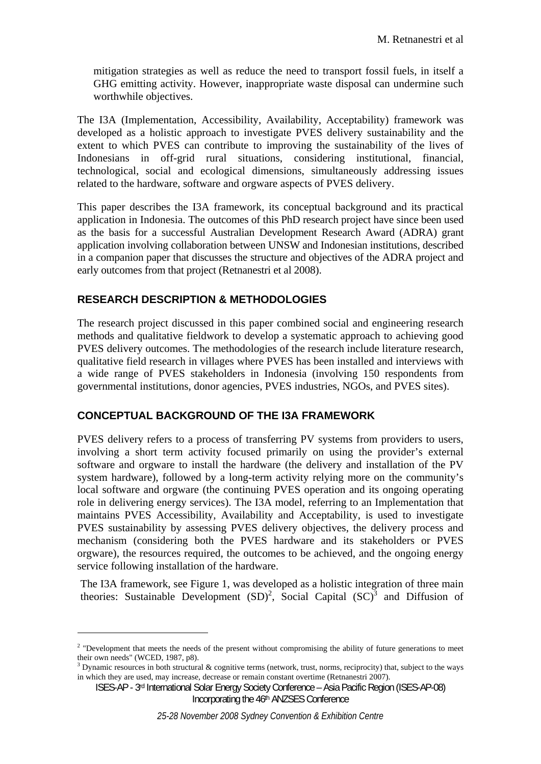mitigation strategies as well as reduce the need to transport fossil fuels, in itself a GHG emitting activity. However, inappropriate waste disposal can undermine such worthwhile objectives.

The I3A (Implementation, Accessibility, Availability, Acceptability) framework was developed as a holistic approach to investigate PVES delivery sustainability and the extent to which PVES can contribute to improving the sustainability of the lives of Indonesians in off-grid rural situations, considering institutional, financial, technological, social and ecological dimensions, simultaneously addressing issues related to the hardware, software and orgware aspects of PVES delivery.

This paper describes the I3A framework, its conceptual background and its practical application in Indonesia. The outcomes of this PhD research project have since been used as the basis for a successful Australian Development Research Award (ADRA) grant application involving collaboration between UNSW and Indonesian institutions, described in a companion paper that discusses the structure and objectives of the ADRA project and early outcomes from that project (Retnanestri et al 2008).

# **RESEARCH DESCRIPTION & METHODOLOGIES**

1

The research project discussed in this paper combined social and engineering research methods and qualitative fieldwork to develop a systematic approach to achieving good PVES delivery outcomes. The methodologies of the research include literature research, qualitative field research in villages where PVES has been installed and interviews with a wide range of PVES stakeholders in Indonesia (involving 150 respondents from governmental institutions, donor agencies, PVES industries, NGOs, and PVES sites).

# **CONCEPTUAL BACKGROUND OF THE I3A FRAMEWORK**

PVES delivery refers to a process of transferring PV systems from providers to users, involving a short term activity focused primarily on using the provider's external software and orgware to install the hardware (the delivery and installation of the PV system hardware), followed by a long-term activity relying more on the community's local software and orgware (the continuing PVES operation and its ongoing operating role in delivering energy services). The I3A model, referring to an Implementation that maintains PVES Accessibility, Availability and Acceptability, is used to investigate PVES sustainability by assessing PVES delivery objectives, the delivery process and mechanism (considering both the PVES hardware and its stakeholders or PVES orgware), the resources required, the outcomes to be achieved, and the ongoing energy service following installation of the hardware.

The I3A framework, see Figure 1, was developed as a holistic integration of three main theories: Sustainable Development  $(SD)^2$ , Social Capital  $(SC)^3$  and Diffusion of

<sup>&</sup>lt;sup>2</sup> "Development that meets the needs of the present without compromising the ability of future generations to meet their own needs" (WCED, 1987, p8).

 $3$  Dynamic resources in both structural & cognitive terms (network, trust, norms, reciprocity) that, subject to the ways in which they are used, may increase, decrease or remain constant overtime (Retnanestri 2007).

ISES-AP - 3rd International Solar Energy Society Conference – Asia Pacific Region (ISES-AP-08) Incorporating the 46<sup>th</sup> ANZSES Conference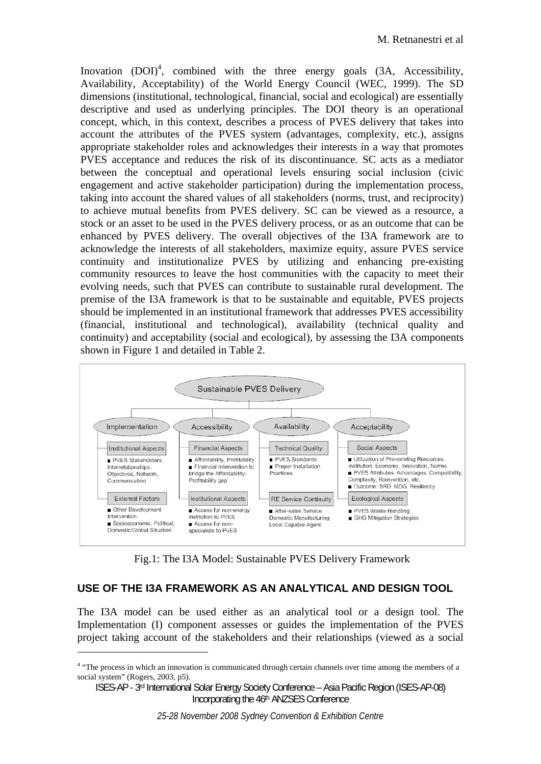Inovation  $(DOI)^4$ , combined with the three energy goals  $(3A, Accessibility,$ Availability, Acceptability) of the World Energy Council (WEC, 1999). The SD dimensions (institutional, technological, financial, social and ecological) are essentially descriptive and used as underlying principles. The DOI theory is an operational concept, which, in this context, describes a process of PVES delivery that takes into account the attributes of the PVES system (advantages, complexity, etc.), assigns appropriate stakeholder roles and acknowledges their interests in a way that promotes PVES acceptance and reduces the risk of its discontinuance. SC acts as a mediator between the conceptual and operational levels ensuring social inclusion (civic engagement and active stakeholder participation) during the implementation process, taking into account the shared values of all stakeholders (norms, trust, and reciprocity) to achieve mutual benefits from PVES delivery. SC can be viewed as a resource, a stock or an asset to be used in the PVES delivery process, or as an outcome that can be enhanced by PVES delivery. The overall objectives of the I3A framework are to acknowledge the interests of all stakeholders, maximize equity, assure PVES service continuity and institutionalize PVES by utilizing and enhancing pre-existing community resources to leave the host communities with the capacity to meet their evolving needs, such that PVES can contribute to sustainable rural development. The premise of the I3A framework is that to be sustainable and equitable, PVES projects should be implemented in an institutional framework that addresses PVES accessibility (financial, institutional and technological), availability (technical quality and continuity) and acceptability (social and ecological), by assessing the I3A components shown in Figure 1 and detailed in Table 2.



Fig.1: The I3A Model: Sustainable PVES Delivery Framework

### **USE OF THE I3A FRAMEWORK AS AN ANALYTICAL AND DESIGN TOOL**

The I3A model can be used either as an analytical tool or a design tool. The Implementation (I) component assesses or guides the implementation of the PVES project taking account of the stakeholders and their relationships (viewed as a social

1

<sup>&</sup>lt;sup>4</sup> "The process in which an innovation is communicated through certain channels over time among the members of a social system" (Rogers, 2003, p5).

ISES-AP - 3rd International Solar Energy Society Conference – Asia Pacific Region (ISES-AP-08) Incorporating the 46th ANZSES Conference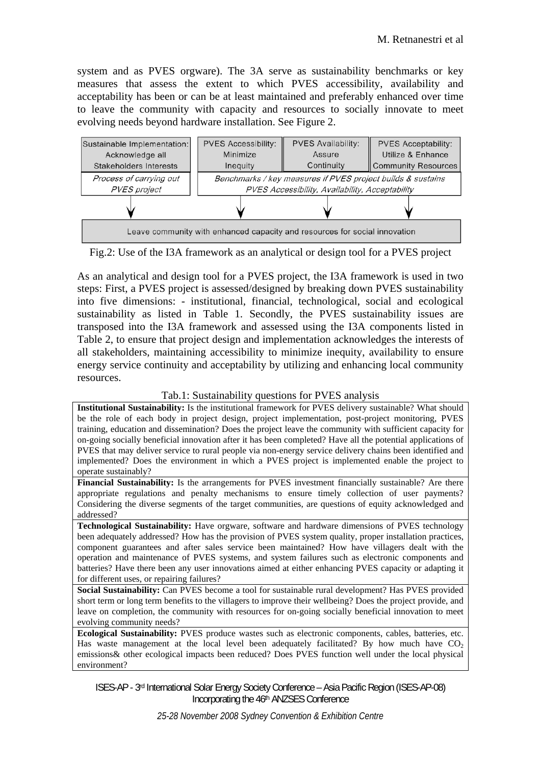system and as PVES orgware). The 3A serve as sustainability benchmarks or key measures that assess the extent to which PVES accessibility, availability and acceptability has been or can be at least maintained and preferably enhanced over time to leave the community with capacity and resources to socially innovate to meet evolving needs beyond hardware installation. See Figure 2.



Fig.2: Use of the I3A framework as an analytical or design tool for a PVES project

As an analytical and design tool for a PVES project, the I3A framework is used in two steps: First, a PVES project is assessed/designed by breaking down PVES sustainability into five dimensions: - institutional, financial, technological, social and ecological sustainability as listed in Table 1. Secondly, the PVES sustainability issues are transposed into the I3A framework and assessed using the I3A components listed in Table 2, to ensure that project design and implementation acknowledges the interests of all stakeholders, maintaining accessibility to minimize inequity, availability to ensure energy service continuity and acceptability by utilizing and enhancing local community resources.

#### Tab.1: Sustainability questions for PVES analysis

**Institutional Sustainability:** Is the institutional framework for PVES delivery sustainable? What should be the role of each body in project design, project implementation, post-project monitoring, PVES training, education and dissemination? Does the project leave the community with sufficient capacity for on-going socially beneficial innovation after it has been completed? Have all the potential applications of PVES that may deliver service to rural people via non-energy service delivery chains been identified and implemented? Does the environment in which a PVES project is implemented enable the project to operate sustainably?

**Financial Sustainability:** Is the arrangements for PVES investment financially sustainable? Are there appropriate regulations and penalty mechanisms to ensure timely collection of user payments? Considering the diverse segments of the target communities, are questions of equity acknowledged and addressed?

**Technological Sustainability:** Have orgware, software and hardware dimensions of PVES technology been adequately addressed? How has the provision of PVES system quality, proper installation practices, component guarantees and after sales service been maintained? How have villagers dealt with the operation and maintenance of PVES systems, and system failures such as electronic components and batteries? Have there been any user innovations aimed at either enhancing PVES capacity or adapting it for different uses, or repairing failures?

**Social Sustainability:** Can PVES become a tool for sustainable rural development? Has PVES provided short term or long term benefits to the villagers to improve their wellbeing? Does the project provide, and leave on completion, the community with resources for on-going socially beneficial innovation to meet evolving community needs?

**Ecological Sustainability:** PVES produce wastes such as electronic components, cables, batteries, etc. Has waste management at the local level been adequately facilitated? By how much have  $CO<sub>2</sub>$ emissions& other ecological impacts been reduced? Does PVES function well under the local physical environment?

ISES-AP - 3rd International Solar Energy Society Conference – Asia Pacific Region (ISES-AP-08) Incorporating the 46<sup>th</sup> ANZSES Conference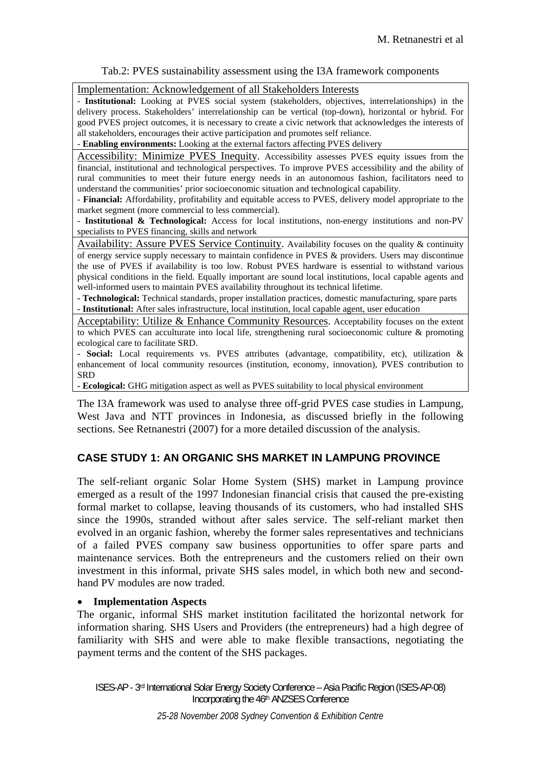#### Tab.2: PVES sustainability assessment using the I3A framework components

#### Implementation: Acknowledgement of all Stakeholders Interests

- **Institutional:** Looking at PVES social system (stakeholders, objectives, interrelationships) in the delivery process. Stakeholders' interrelationship can be vertical (top-down), horizontal or hybrid. For good PVES project outcomes, it is necessary to create a civic network that acknowledges the interests of all stakeholders, encourages their active participation and promotes self reliance.

- **Enabling environments:** Looking at the external factors affecting PVES delivery

Accessibility: Minimize PVES Inequity. Accessibility assesses PVES equity issues from the financial, institutional and technological perspectives. To improve PVES accessibility and the ability of rural communities to meet their future energy needs in an autonomous fashion, facilitators need to understand the communities' prior socioeconomic situation and technological capability.

- **Financial:** Affordability, profitability and equitable access to PVES, delivery model appropriate to the market segment (more commercial to less commercial).

- **Institutional & Technological:** Access for local institutions, non-energy institutions and non-PV specialists to PVES financing, skills and network

Availability: Assure PVES Service Continuity. Availability focuses on the quality & continuity of energy service supply necessary to maintain confidence in PVES & providers. Users may discontinue the use of PVES if availability is too low. Robust PVES hardware is essential to withstand various physical conditions in the field. Equally important are sound local institutions, local capable agents and well-informed users to maintain PVES availability throughout its technical lifetime.

**- Technological:** Technical standards, proper installation practices, domestic manufacturing, spare parts **- Institutional:** After sales infrastructure, local institution, local capable agent, user education

Acceptability: Utilize & Enhance Community Resources. Acceptability focuses on the extent to which PVES can acculturate into local life, strengthening rural socioeconomic culture & promoting ecological care to facilitate SRD.

**- Social:** Local requirements vs. PVES attributes (advantage, compatibility, etc), utilization & enhancement of local community resources (institution, economy, innovation), PVES contribution to SRD

**- Ecological:** GHG mitigation aspect as well as PVES suitability to local physical environment

The I3A framework was used to analyse three off-grid PVES case studies in Lampung, West Java and NTT provinces in Indonesia, as discussed briefly in the following sections. See Retnanestri (2007) for a more detailed discussion of the analysis.

### **CASE STUDY 1: AN ORGANIC SHS MARKET IN LAMPUNG PROVINCE**

The self-reliant organic Solar Home System (SHS) market in Lampung province emerged as a result of the 1997 Indonesian financial crisis that caused the pre-existing formal market to collapse, leaving thousands of its customers, who had installed SHS since the 1990s, stranded without after sales service. The self-reliant market then evolved in an organic fashion, whereby the former sales representatives and technicians of a failed PVES company saw business opportunities to offer spare parts and maintenance services. Both the entrepreneurs and the customers relied on their own investment in this informal, private SHS sales model, in which both new and secondhand PV modules are now traded.

#### • **Implementation Aspects**

The organic, informal SHS market institution facilitated the horizontal network for information sharing. SHS Users and Providers (the entrepreneurs) had a high degree of familiarity with SHS and were able to make flexible transactions, negotiating the payment terms and the content of the SHS packages.

ISES-AP - 3rd International Solar Energy Society Conference – Asia Pacific Region (ISES-AP-08) Incorporating the 46<sup>th</sup> ANZSES Conference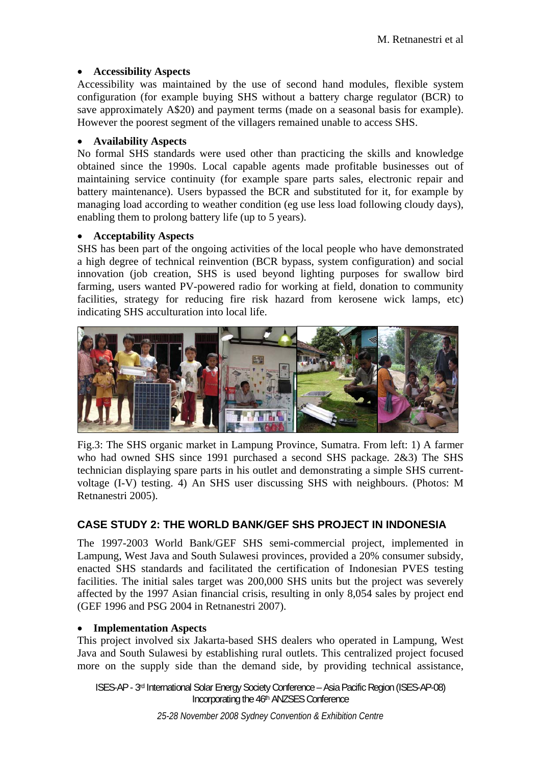### • **Accessibility Aspects**

Accessibility was maintained by the use of second hand modules, flexible system configuration (for example buying SHS without a battery charge regulator (BCR) to save approximately A\$20) and payment terms (made on a seasonal basis for example). However the poorest segment of the villagers remained unable to access SHS.

### • **Availability Aspects**

No formal SHS standards were used other than practicing the skills and knowledge obtained since the 1990s. Local capable agents made profitable businesses out of maintaining service continuity (for example spare parts sales, electronic repair and battery maintenance). Users bypassed the BCR and substituted for it, for example by managing load according to weather condition (eg use less load following cloudy days), enabling them to prolong battery life (up to 5 years).

## • **Acceptability Aspects**

SHS has been part of the ongoing activities of the local people who have demonstrated a high degree of technical reinvention (BCR bypass, system configuration) and social innovation (job creation, SHS is used beyond lighting purposes for swallow bird farming, users wanted PV-powered radio for working at field, donation to community facilities, strategy for reducing fire risk hazard from kerosene wick lamps, etc) indicating SHS acculturation into local life.



Fig.3: The SHS organic market in Lampung Province, Sumatra. From left: 1) A farmer who had owned SHS since 1991 purchased a second SHS package. 2&3) The SHS technician displaying spare parts in his outlet and demonstrating a simple SHS currentvoltage (I-V) testing. 4) An SHS user discussing SHS with neighbours. (Photos: M Retnanestri 2005).

# **CASE STUDY 2: THE WORLD BANK/GEF SHS PROJECT IN INDONESIA**

The 1997-2003 World Bank/GEF SHS semi-commercial project, implemented in Lampung, West Java and South Sulawesi provinces, provided a 20% consumer subsidy, enacted SHS standards and facilitated the certification of Indonesian PVES testing facilities. The initial sales target was 200,000 SHS units but the project was severely affected by the 1997 Asian financial crisis, resulting in only 8,054 sales by project end (GEF 1996 and PSG 2004 in Retnanestri 2007).

### • **Implementation Aspects**

This project involved six Jakarta-based SHS dealers who operated in Lampung, West Java and South Sulawesi by establishing rural outlets. This centralized project focused more on the supply side than the demand side, by providing technical assistance,

ISES-AP - 3rd International Solar Energy Society Conference – Asia Pacific Region (ISES-AP-08) Incorporating the 46<sup>th</sup> ANZSES Conference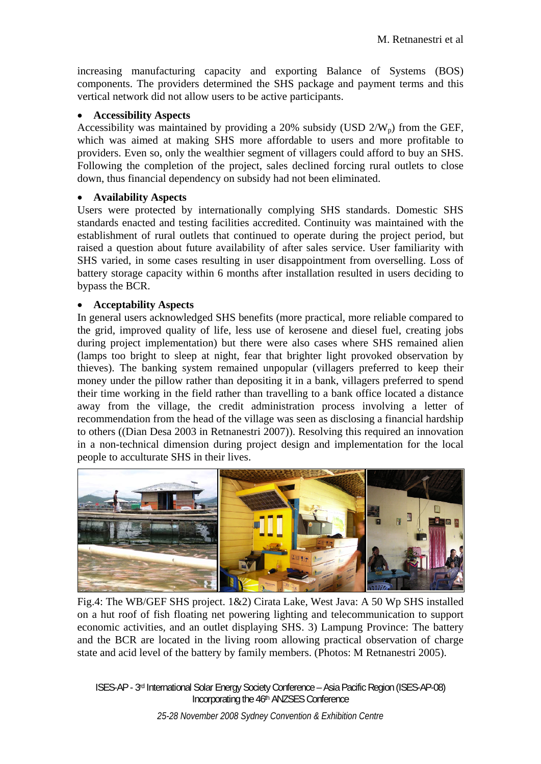increasing manufacturing capacity and exporting Balance of Systems (BOS) components. The providers determined the SHS package and payment terms and this vertical network did not allow users to be active participants.

### • **Accessibility Aspects**

Accessibility was maintained by providing a 20% subsidy (USD  $2/W_p$ ) from the GEF, which was aimed at making SHS more affordable to users and more profitable to providers. Even so, only the wealthier segment of villagers could afford to buy an SHS. Following the completion of the project, sales declined forcing rural outlets to close down, thus financial dependency on subsidy had not been eliminated.

## • **Availability Aspects**

Users were protected by internationally complying SHS standards. Domestic SHS standards enacted and testing facilities accredited. Continuity was maintained with the establishment of rural outlets that continued to operate during the project period, but raised a question about future availability of after sales service. User familiarity with SHS varied, in some cases resulting in user disappointment from overselling. Loss of battery storage capacity within 6 months after installation resulted in users deciding to bypass the BCR.

## • **Acceptability Aspects**

In general users acknowledged SHS benefits (more practical, more reliable compared to the grid, improved quality of life, less use of kerosene and diesel fuel, creating jobs during project implementation) but there were also cases where SHS remained alien (lamps too bright to sleep at night, fear that brighter light provoked observation by thieves). The banking system remained unpopular (villagers preferred to keep their money under the pillow rather than depositing it in a bank, villagers preferred to spend their time working in the field rather than travelling to a bank office located a distance away from the village, the credit administration process involving a letter of recommendation from the head of the village was seen as disclosing a financial hardship to others ((Dian Desa 2003 in Retnanestri 2007)). Resolving this required an innovation in a non-technical dimension during project design and implementation for the local people to acculturate SHS in their lives.



Fig.4: The WB/GEF SHS project. 1&2) Cirata Lake, West Java: A 50 Wp SHS installed on a hut roof of fish floating net powering lighting and telecommunication to support economic activities, and an outlet displaying SHS. 3) Lampung Province: The battery and the BCR are located in the living room allowing practical observation of charge state and acid level of the battery by family members. (Photos: M Retnanestri 2005).

ISES-AP - 3rd International Solar Energy Society Conference – Asia Pacific Region (ISES-AP-08) Incorporating the 46th ANZSES Conference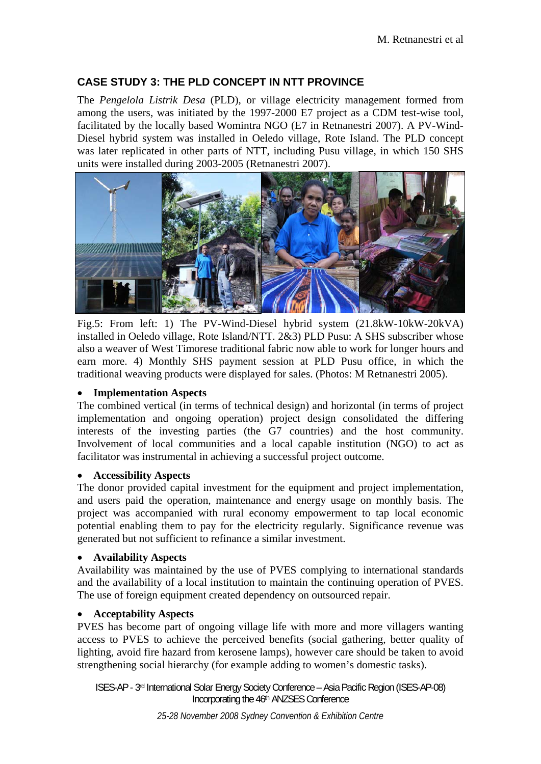## **CASE STUDY 3: THE PLD CONCEPT IN NTT PROVINCE**

The *Pengelola Listrik Desa* (PLD), or village electricity management formed from among the users, was initiated by the 1997-2000 E7 project as a CDM test-wise tool, facilitated by the locally based Womintra NGO (E7 in Retnanestri 2007). A PV-Wind-Diesel hybrid system was installed in Oeledo village, Rote Island. The PLD concept was later replicated in other parts of NTT, including Pusu village, in which 150 SHS units were installed during 2003-2005 (Retnanestri 2007).



Fig.5: From left: 1) The PV-Wind-Diesel hybrid system (21.8kW-10kW-20kVA) installed in Oeledo village, Rote Island/NTT. 2&3) PLD Pusu: A SHS subscriber whose also a weaver of West Timorese traditional fabric now able to work for longer hours and earn more. 4) Monthly SHS payment session at PLD Pusu office, in which the traditional weaving products were displayed for sales. (Photos: M Retnanestri 2005).

### • **Implementation Aspects**

The combined vertical (in terms of technical design) and horizontal (in terms of project implementation and ongoing operation) project design consolidated the differing interests of the investing parties (the G7 countries) and the host community. Involvement of local communities and a local capable institution (NGO) to act as facilitator was instrumental in achieving a successful project outcome.

#### • **Accessibility Aspects**

The donor provided capital investment for the equipment and project implementation, and users paid the operation, maintenance and energy usage on monthly basis. The project was accompanied with rural economy empowerment to tap local economic potential enabling them to pay for the electricity regularly. Significance revenue was generated but not sufficient to refinance a similar investment.

### • **Availability Aspects**

Availability was maintained by the use of PVES complying to international standards and the availability of a local institution to maintain the continuing operation of PVES. The use of foreign equipment created dependency on outsourced repair.

#### • **Acceptability Aspects**

PVES has become part of ongoing village life with more and more villagers wanting access to PVES to achieve the perceived benefits (social gathering, better quality of lighting, avoid fire hazard from kerosene lamps), however care should be taken to avoid strengthening social hierarchy (for example adding to women's domestic tasks).

ISES-AP - 3rd International Solar Energy Society Conference – Asia Pacific Region (ISES-AP-08) Incorporating the 46th ANZSES Conference